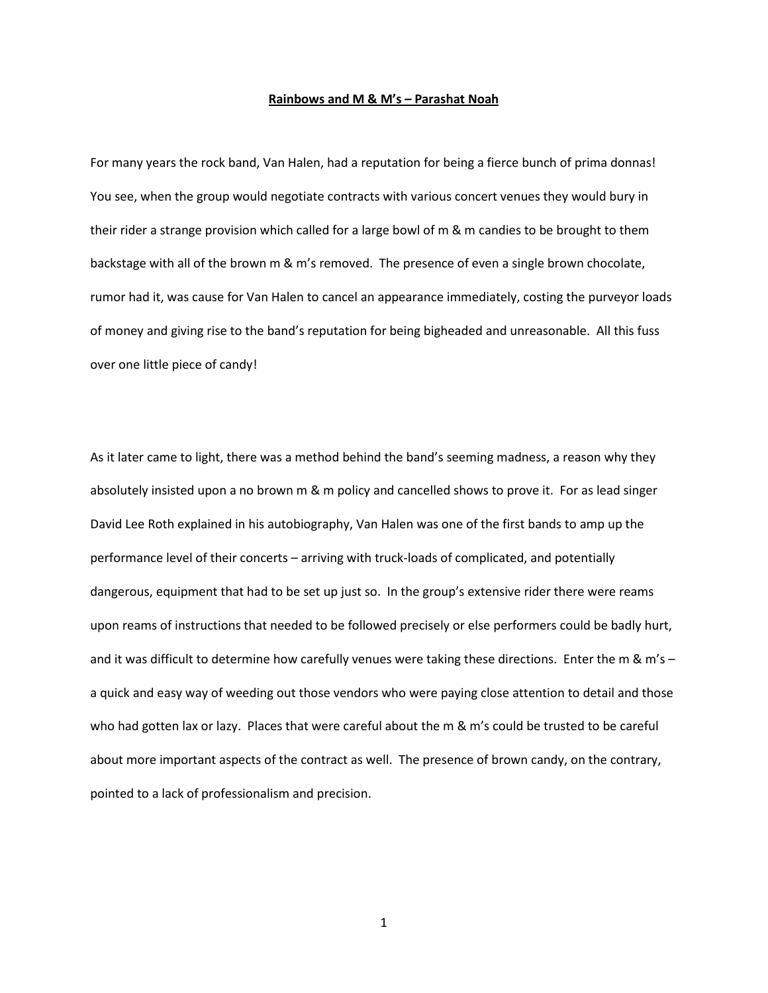## **Rainbows and M & M's – Parashat Noah**

For many years the rock band, Van Halen, had a reputation for being a fierce bunch of prima donnas! You see, when the group would negotiate contracts with various concert venues they would bury in their rider a strange provision which called for a large bowl of m & m candies to be brought to them backstage with all of the brown m & m's removed. The presence of even a single brown chocolate, rumor had it, was cause for Van Halen to cancel an appearance immediately, costing the purveyor loads of money and giving rise to the band's reputation for being bigheaded and unreasonable. All this fuss over one little piece of candy!

As it later came to light, there was a method behind the band's seeming madness, a reason why they absolutely insisted upon a no brown m & m policy and cancelled shows to prove it. For as lead singer David Lee Roth explained in his autobiography, Van Halen was one of the first bands to amp up the performance level of their concerts – arriving with truck-loads of complicated, and potentially dangerous, equipment that had to be set up just so. In the group's extensive rider there were reams upon reams of instructions that needed to be followed precisely or else performers could be badly hurt, and it was difficult to determine how carefully venues were taking these directions. Enter the m & m's a quick and easy way of weeding out those vendors who were paying close attention to detail and those who had gotten lax or lazy. Places that were careful about the m & m's could be trusted to be careful about more important aspects of the contract as well. The presence of brown candy, on the contrary, pointed to a lack of professionalism and precision.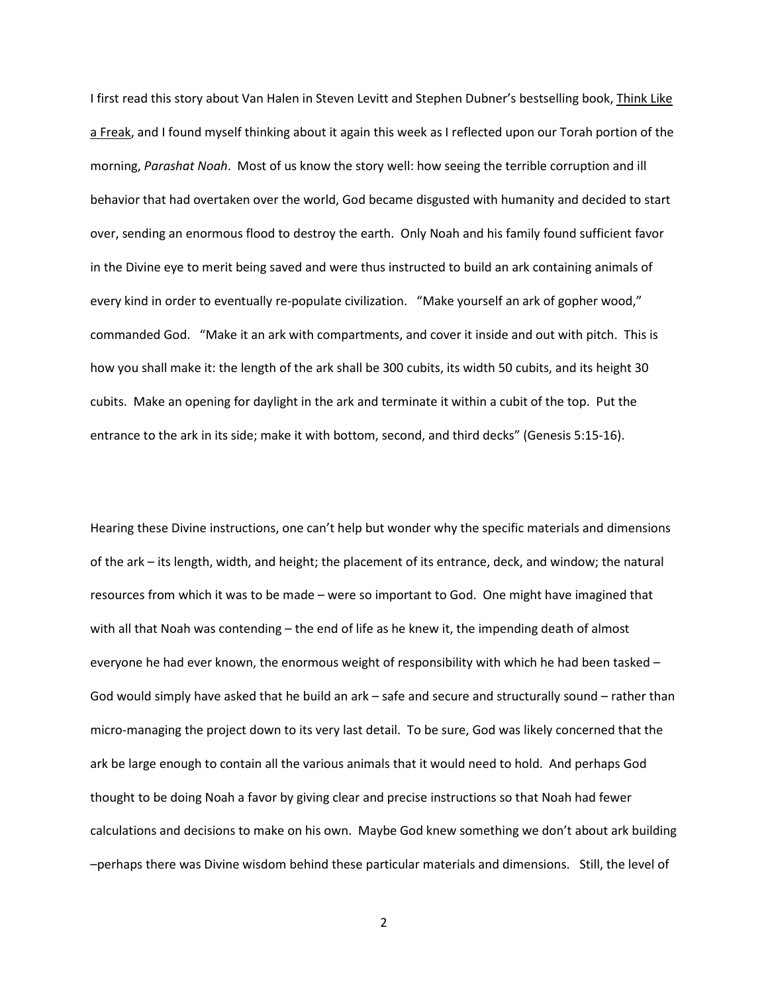I first read this story about Van Halen in Steven Levitt and Stephen Dubner's bestselling book, Think Like a Freak, and I found myself thinking about it again this week as I reflected upon our Torah portion of the morning, *Parashat Noah*. Most of us know the story well: how seeing the terrible corruption and ill behavior that had overtaken over the world, God became disgusted with humanity and decided to start over, sending an enormous flood to destroy the earth. Only Noah and his family found sufficient favor in the Divine eye to merit being saved and were thus instructed to build an ark containing animals of every kind in order to eventually re-populate civilization. "Make yourself an ark of gopher wood," commanded God. "Make it an ark with compartments, and cover it inside and out with pitch. This is how you shall make it: the length of the ark shall be 300 cubits, its width 50 cubits, and its height 30 cubits. Make an opening for daylight in the ark and terminate it within a cubit of the top. Put the entrance to the ark in its side; make it with bottom, second, and third decks" (Genesis 5:15-16).

Hearing these Divine instructions, one can't help but wonder why the specific materials and dimensions of the ark – its length, width, and height; the placement of its entrance, deck, and window; the natural resources from which it was to be made – were so important to God. One might have imagined that with all that Noah was contending – the end of life as he knew it, the impending death of almost everyone he had ever known, the enormous weight of responsibility with which he had been tasked – God would simply have asked that he build an ark – safe and secure and structurally sound – rather than micro-managing the project down to its very last detail. To be sure, God was likely concerned that the ark be large enough to contain all the various animals that it would need to hold. And perhaps God thought to be doing Noah a favor by giving clear and precise instructions so that Noah had fewer calculations and decisions to make on his own. Maybe God knew something we don't about ark building –perhaps there was Divine wisdom behind these particular materials and dimensions. Still, the level of

2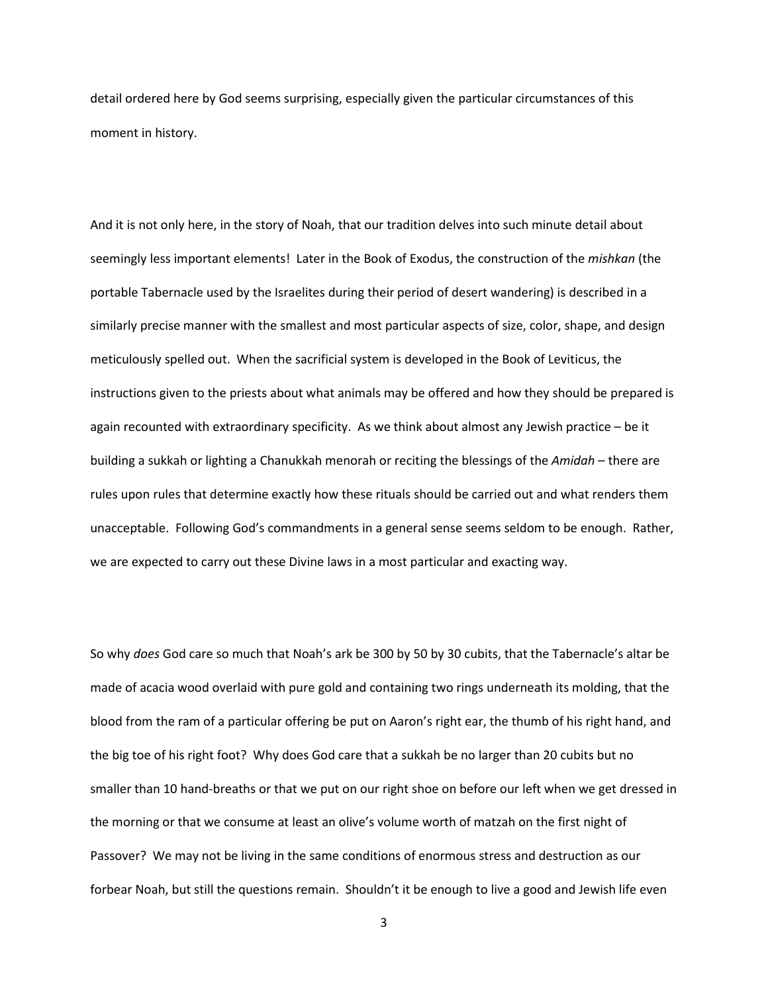detail ordered here by God seems surprising, especially given the particular circumstances of this moment in history.

And it is not only here, in the story of Noah, that our tradition delves into such minute detail about seemingly less important elements! Later in the Book of Exodus, the construction of the *mishkan* (the portable Tabernacle used by the Israelites during their period of desert wandering) is described in a similarly precise manner with the smallest and most particular aspects of size, color, shape, and design meticulously spelled out. When the sacrificial system is developed in the Book of Leviticus, the instructions given to the priests about what animals may be offered and how they should be prepared is again recounted with extraordinary specificity. As we think about almost any Jewish practice – be it building a sukkah or lighting a Chanukkah menorah or reciting the blessings of the *Amidah* – there are rules upon rules that determine exactly how these rituals should be carried out and what renders them unacceptable. Following God's commandments in a general sense seems seldom to be enough. Rather, we are expected to carry out these Divine laws in a most particular and exacting way.

So why *does* God care so much that Noah's ark be 300 by 50 by 30 cubits, that the Tabernacle's altar be made of acacia wood overlaid with pure gold and containing two rings underneath its molding, that the blood from the ram of a particular offering be put on Aaron's right ear, the thumb of his right hand, and the big toe of his right foot? Why does God care that a sukkah be no larger than 20 cubits but no smaller than 10 hand-breaths or that we put on our right shoe on before our left when we get dressed in the morning or that we consume at least an olive's volume worth of matzah on the first night of Passover? We may not be living in the same conditions of enormous stress and destruction as our forbear Noah, but still the questions remain. Shouldn't it be enough to live a good and Jewish life even

3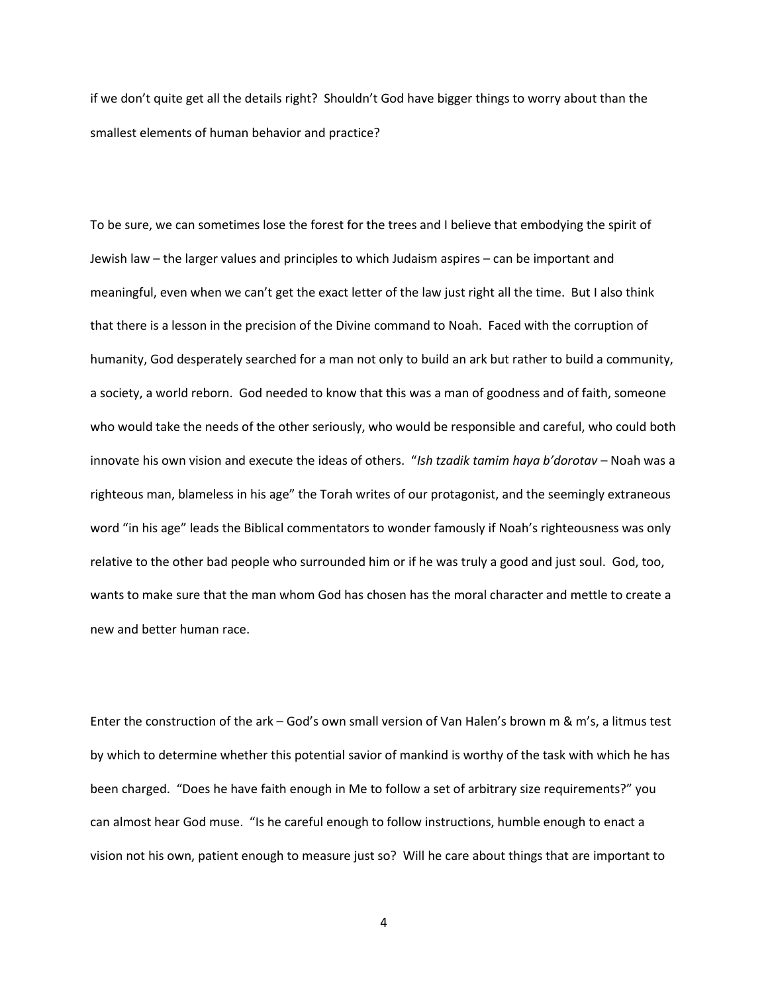if we don't quite get all the details right? Shouldn't God have bigger things to worry about than the smallest elements of human behavior and practice?

To be sure, we can sometimes lose the forest for the trees and I believe that embodying the spirit of Jewish law – the larger values and principles to which Judaism aspires – can be important and meaningful, even when we can't get the exact letter of the law just right all the time. But I also think that there is a lesson in the precision of the Divine command to Noah. Faced with the corruption of humanity, God desperately searched for a man not only to build an ark but rather to build a community, a society, a world reborn. God needed to know that this was a man of goodness and of faith, someone who would take the needs of the other seriously, who would be responsible and careful, who could both innovate his own vision and execute the ideas of others. "*Ish tzadik tamim haya b'dorotav* – Noah was a righteous man, blameless in his age" the Torah writes of our protagonist, and the seemingly extraneous word "in his age" leads the Biblical commentators to wonder famously if Noah's righteousness was only relative to the other bad people who surrounded him or if he was truly a good and just soul. God, too, wants to make sure that the man whom God has chosen has the moral character and mettle to create a new and better human race.

Enter the construction of the ark – God's own small version of Van Halen's brown m & m's, a litmus test by which to determine whether this potential savior of mankind is worthy of the task with which he has been charged. "Does he have faith enough in Me to follow a set of arbitrary size requirements?" you can almost hear God muse. "Is he careful enough to follow instructions, humble enough to enact a vision not his own, patient enough to measure just so? Will he care about things that are important to

4